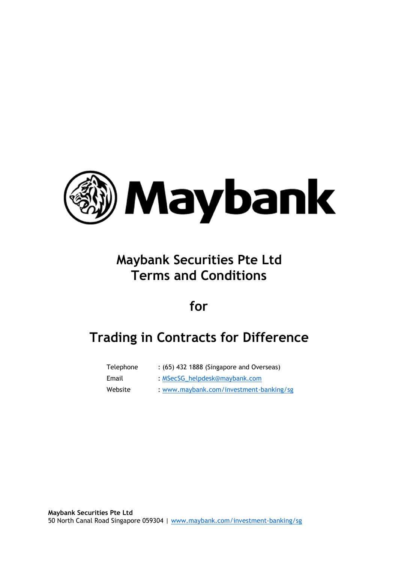

# **Maybank Securities Pte Ltd Terms and Conditions**

**for**

# **Trading in Contracts for Difference**

| Telephone | : (65) 432 1888 (Singapore and Overseas) |  |
|-----------|------------------------------------------|--|
|           |                                          |  |

- Email : [MSecSG\\_helpdesk@maybank.com](MSecSG_helpdesk@maybank.com)
- 
- Website : <www.maybank.com/investment-banking/sg>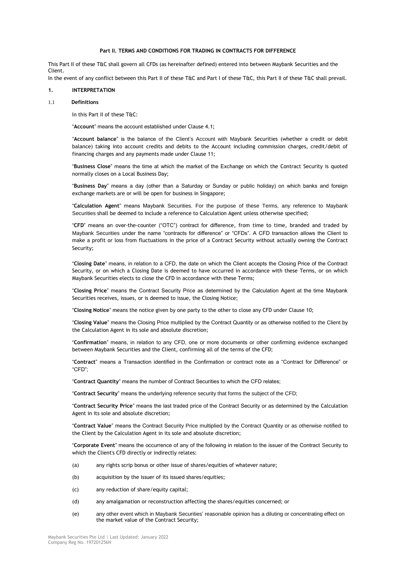## **Part II. TERMS AND CONDITIONS FOR TRADING IN CONTRACTS FOR DIFFERENCE**

This Part II of these T&C shall govern all CFDs (as hereinafter defined) entered into between Maybank Securities and the Client.

In the event of any conflict between this Part II of these T&C and Part I of these T&C, this Part II of these T&C shall prevail.

## **1. INTERPRETATION**

#### 1.1 **Definitions**

In this Part II of these T&C:

"**Account**" means the account established under Clause 4.1;

"**Account balance**" is the balance of the Client's Account with Maybank Securities (whether a credit or debit balance) taking into account credits and debits to the Account including commission charges, credit/debit of financing charges and any payments made under Clause 11;

"**Business Close**" means the time at which the market of the Exchange on which the Contract Security is quoted normally closes on a Local Business Day;

"**Business Day**" means a day (other than a Saturday or Sunday or public holiday) on which banks and foreign exchange markets are or will be open for business in Singapore;

"**Calculation Agent**" means Maybank Securities. For the purpose of these Terms, any reference to Maybank Securities shall be deemed to include a reference to Calculation Agent unless otherwise specified;

"**CFD**" means an over-the-counter ("OTC") contract for difference, from time to time, branded and traded by Maybank Securities under the name "contracts for difference" or "CFDs". A CFD transaction allows the Client to make a profit or loss from fluctuations in the price of a Contract Security without actually owning the Contract Security;

"**Closing Date**" means, in relation to a CFD, the date on which the Client accepts the Closing Price of the Contract Security, or on which a Closing Date is deemed to have occurred in accordance with these Terms, or on which Maybank Securities elects to close the CFD in accordance with these Terms;

"**Closing Price**" means the Contract Security Price as determined by the Calculation Agent at the time Maybank Securities receives, issues, or is deemed to issue, the Closing Notice;

"**Closing Notice**" means the notice given by one party to the other to close any CFD under Clause 10;

"**Closing Value**" means the Closing Price multiplied by the Contract Quantity or as otherwise notified to the Client by the Calculation Agent in its sole and absolute discretion;

"**Confirmation**" means, in relation to any CFD, one or more documents or other confirming evidence exchanged between Maybank Securities and the Client, confirming all of the terms of the CFD;

"**Contract**" means a Transaction identified in the Confirmation or contract note as a "Contract for Difference" or "CFD";

"**Contract Quantity**" means the number of Contract Securities to which the CFD relates;

"**Contract Security**" means the underlying reference security that forms the subject of the CFD;

"**Contract Security Price**" means the last traded price of the Contract Security or as determined by the Calculation Agent in its sole and absolute discretion;

"**Contract Value**" means the Contract Security Price multiplied by the Contract Quantity or as otherwise notified to the Client by the Calculation Agent in its sole and absolute discretion;

"**Corporate Event**" means the occurrence of any of the following in relation to the issuer of the Contract Security to which the Client's CFD directly or indirectly relates:

- (a) any rights scrip bonus or other issue of shares/equities of whatever nature;
- (b) acquisition by the issuer of its issued shares/equities;
- (c) any reduction of share/equity capital;
- (d) any amalgamation or reconstruction affecting the shares/equities concerned; or
- (e) any other event which in Maybank Securities' reasonable opinion has a diluting or concentrating effect on the market value of the Contract Security;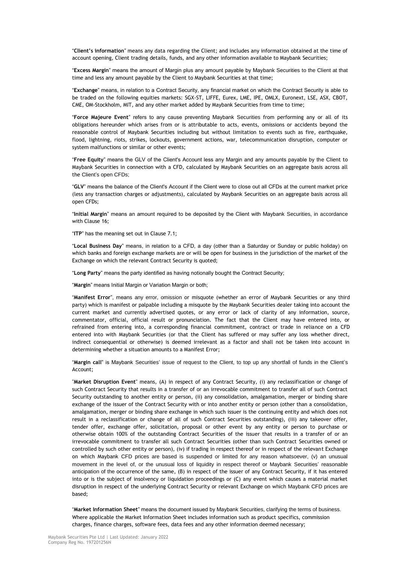"**Client's information**" means any data regarding the Client; and includes any information obtained at the time of account opening, Client trading details, funds, and any other information available to Maybank Securities;

"**Excess Margin**" means the amount of Margin plus any amount payable by Maybank Securities to the Client at that time and less any amount payable by the Client to Maybank Securities at that time;

"**Exchange**" means, in relation to a Contract Security, any financial market on which the Contract Security is able to be traded on the following equities markets: SGX-ST, LIFFE, Eurex, LME, IPE, OMLX, Euronext, LSE, ASX, CBOT, CME, OM-Stockholm, MIT, and any other market added by Maybank Securities from time to time;

"**Force Majeure Event**" refers to any cause preventing Maybank Securities from performing any or all of its obligations hereunder which arises from or is attributable to acts, events, omissions or accidents beyond the reasonable control of Maybank Securities including but without limitation to events such as fire, earthquake, flood, lightning, riots, strikes, lockouts, government actions, war, telecommunication disruption, computer or system malfunctions or similar or other events;

"**Free Equity**" means the GLV of the Client's Account less any Margin and any amounts payable by the Client to Maybank Securities in connection with a CFD, calculated by Maybank Securities on an aggregate basis across all the Client's open CFDs;

"**GLV**" means the balance of the Client's Account if the Client were to close out all CFDs at the current market price (less any transaction charges or adjustments), calculated by Maybank Securities on an aggregate basis across all open CFDs;

"**Initial Margin**" means an amount required to be deposited by the Client with Maybank Securities, in accordance with Clause 16;

"**ITP**" has the meaning set out in Clause 7.1;

"**Local Business Day**" means, in relation to a CFD, a day (other than a Saturday or Sunday or public holiday) on which banks and foreign exchange markets are or will be open for business in the jurisdiction of the market of the Exchange on which the relevant Contract Security is quoted;

"**Long Party**" means the party identified as having notionally bought the Contract Security;

"**Margin**" means Initial Margin or Variation Margin or both;

"**Manifest Error**", means any error, omission or misquote (whether an error of Maybank Securities or any third party) which is manifest or palpable including a misquote by the Maybank Securities dealer taking into account the current market and currently advertised quotes, or any error or lack of clarity of any information, source, commentator, official, official result or pronunciation. The fact that the Client may have entered into, or refrained from entering into, a corresponding financial commitment, contract or trade in reliance on a CFD entered into with Maybank Securities (or that the Client has suffered or may suffer any loss whether direct, indirect consequential or otherwise) is deemed irrelevant as a factor and shall not be taken into account in determining whether a situation amounts to a Manifest Error;

"**Margin call**" is Maybank Securities' issue of request to the Client, to top up any shortfall of funds in the Client's Account;

"**Market Disruption Event**" means, (A) in respect of any Contract Security, (i) any reclassification or change of such Contract Security that results in a transfer of or an irrevocable commitment to transfer all of such Contract Security outstanding to another entity or person, (ii) any consolidation, amalgamation, merger or binding share exchange of the issuer of the Contract Security with or into another entity or person (other than a consolidation, amalgamation, merger or binding share exchange in which such issuer is the continuing entity and which does not result in a reclassification or change of all of such Contract Securities outstanding), (iii) any takeover offer, tender offer, exchange offer, solicitation, proposal or other event by any entity or person to purchase or otherwise obtain 100% of the outstanding Contract Securities of the issuer that results in a transfer of or an irrevocable commitment to transfer all such Contract Securities (other than such Contract Securities owned or controlled by such other entity or person), (iv) if trading in respect thereof or in respect of the relevant Exchange on which Maybank CFD prices are based is suspended or limited for any reason whatsoever, (v) an unusual movement in the level of, or the unusual loss of liquidity in respect thereof or Maybank Securities' reasonable anticipation of the occurrence of the same, (B) in respect of the issuer of any Contract Security, if it has entered into or is the subject of insolvency or liquidation proceedings or (C) any event which causes a material market disruption in respect of the underlying Contract Security or relevant Exchange on which Maybank CFD prices are based;

"**Market Information Sheet**" means the document issued by Maybank Securities, clarifying the terms of business. Where applicable the Market Information Sheet includes information such as product specifics, commission charges, finance charges, software fees, data fees and any other information deemed necessary;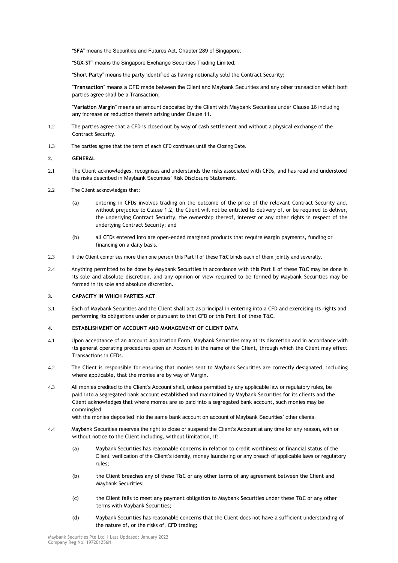"**SFA**" means the Securities and Futures Act, Chapter 289 of Singapore;

"**SGX-ST**" means the Singapore Exchange Securities Trading Limited;

"**Short Party**" means the party identified as having notionally sold the Contract Security;

"**Transaction**" means a CFD made between the Client and Maybank Securities and any other transaction which both parties agree shall be a Transaction;

"**Variation Margin**" means an amount deposited by the Client with Maybank Securities under Clause 16 including any increase or reduction therein arising under Clause 11.

- 1.2 The parties agree that a CFD is closed out by way of cash settlement and without a physical exchange of the Contract Security.
- 1.3 The parties agree that the term of each CFD continues until the Closing Date.

## **2. GENERAL**

- 2.1 The Client acknowledges, recognises and understands the risks associated with CFDs, and has read and understood the risks described in Maybank Securities' Risk Disclosure Statement.
- 2.2 The Client acknowledges that:
	- (a) entering in CFDs involves trading on the outcome of the price of the relevant Contract Security and, without prejudice to Clause 1.2, the Client will not be entitled to delivery of, or be required to deliver, the underlying Contract Security, the ownership thereof, interest or any other rights in respect of the underlying Contract Security; and
	- (b) all CFDs entered into are open-ended margined products that require Margin payments, funding or financing on a daily basis.
- 2.3 If the Client comprises more than one person this Part II of these T&C binds each of them jointly and severally.
- 2.4 Anything permitted to be done by Maybank Securities in accordance with this Part II of these T&C may be done in its sole and absolute discretion, and any opinion or view required to be formed by Maybank Securities may be formed in its sole and absolute discretion.

## **3. CAPACITY IN WHICH PARTIES ACT**

3.1 Each of Maybank Securities and the Client shall act as principal in entering into a CFD and exercising its rights and performing its obligations under or pursuant to that CFD or this Part II of these T&C.

### **4. ESTABLISHMENT OF ACCOUNT AND MANAGEMENT OF CLIENT DATA**

- 4.1 Upon acceptance of an Account Application Form, Maybank Securities may at its discretion and in accordance with its general operating procedures open an Account in the name of the Client, through which the Client may effect Transactions in CFDs.
- 4.2 The Client is responsible for ensuring that monies sent to Maybank Securities are correctly designated, including where applicable, that the monies are by way of Margin.
- 4.3 All monies credited to the Client's Account shall, unless permitted by any applicable law or regulatory rules, be paid into a segregated bank account established and maintained by Maybank Securities for its clients and the Client acknowledges that where monies are so paid into a segregated bank account, such monies may be commingled

with the monies deposited into the same bank account on account of Maybank Securities' other clients.

- 4.4 Maybank Securities reserves the right to close or suspend the Client's Account at any time for any reason, with or without notice to the Client including, without limitation, if:
	- (a) Maybank Securities has reasonable concerns in relation to credit worthiness or financial status of the Client, verification of the Client's identity, money laundering or any breach of applicable laws or regulatory rules;
	- (b) the Client breaches any of these T&C or any other terms of any agreement between the Client and Maybank Securities;
	- (c) the Client fails to meet any payment obligation to Maybank Securities under these T&C or any other terms with Maybank Securities;
	- (d) Maybank Securities has reasonable concerns that the Client does not have a sufficient understanding of the nature of, or the risks of, CFD trading;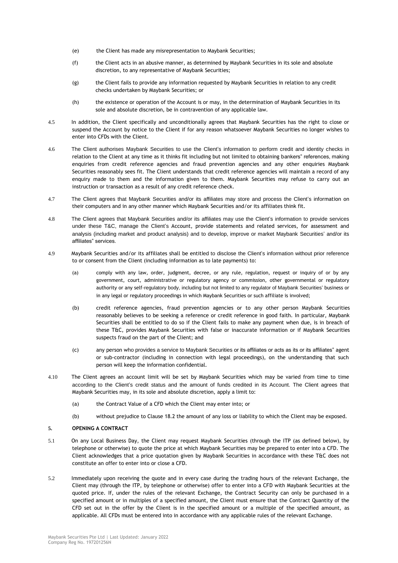- (e) the Client has made any misrepresentation to Maybank Securities;
- (f) the Client acts in an abusive manner, as determined by Maybank Securities in its sole and absolute discretion, to any representative of Maybank Securities;
- (g) the Client fails to provide any information requested by Maybank Securities in relation to any credit checks undertaken by Maybank Securities; or
- (h) the existence or operation of the Account is or may, in the determination of Maybank Securities in its sole and absolute discretion, be in contravention of any applicable law.
- 4.5 In addition, the Client specifically and unconditionally agrees that Maybank Securities has the right to close or suspend the Account by notice to the Client if for any reason whatsoever Maybank Securities no longer wishes to enter into CFDs with the Client.
- 4.6 The Client authorises Maybank Securities to use the Client's information to perform credit and identity checks in relation to the Client at any time as it thinks fit including but not limited to obtaining bankers" references, making enquiries from credit reference agencies and fraud prevention agencies and any other enquiries Maybank Securities reasonably sees fit. The Client understands that credit reference agencies will maintain a record of any enquiry made to them and the information given to them. Maybank Securities may refuse to carry out an instruction or transaction as a result of any credit reference check.
- 4.7 The Client agrees that Maybank Securities and/or its affiliates may store and process the Client's information on their computers and in any other manner which Maybank Securities and/or its affiliates think fit.
- 4.8 The Client agrees that Maybank Securities and/or its affiliates may use the Client's information to provide services under these T&C, manage the Client's Account, provide statements and related services, for assessment and analysis (including market and product analysis) and to develop, improve or market Maybank Securities' and/or its affiliates" services.
- 4.9 Maybank Securities and/or its affiliates shall be entitled to disclose the Client's information without prior reference to or consent from the Client (including information as to late payments) to:
	- (a) comply with any law, order, judgment, decree, or any rule, regulation, request or inquiry of or by any government, court, administrative or regulatory agency or commission, other governmental or regulatory authority or any self-regulatory body, including but not limited to any regulator of Maybank Securities' business or in any legal or regulatory proceedings in which Maybank Securities or such affiliate is involved;
	- (b) credit reference agencies, fraud prevention agencies or to any other person Maybank Securities reasonably believes to be seeking a reference or credit reference in good faith. In particular, Maybank Securities shall be entitled to do so if the Client fails to make any payment when due, is in breach of these T&C, provides Maybank Securities with false or inaccurate information or if Maybank Securities suspects fraud on the part of the Client; and
	- (c) any person who provides a service to Maybank Securities or its affiliates or acts as its or its affiliates" agent or sub-contractor (including in connection with legal proceedings), on the understanding that such person will keep the information confidential.
- 4.10 The Client agrees an account limit will be set by Maybank Securities which may be varied from time to time according to the Client's credit status and the amount of funds credited in its Account. The Client agrees that Maybank Securities may, in its sole and absolute discretion, apply a limit to:
	- (a) the Contract Value of a CFD which the Client may enter into; or
	- (b) without prejudice to Clause 18.2 the amount of any loss or liability to which the Client may be exposed.

## **5. OPENING A CONTRACT**

- 5.1 On any Local Business Day, the Client may request Maybank Securities (through the ITP (as defined below), by telephone or otherwise) to quote the price at which Maybank Securities may be prepared to enter into a CFD. The Client acknowledges that a price quotation given by Maybank Securities in accordance with these T&C does not constitute an offer to enter into or close a CFD.
- 5.2 Immediately upon receiving the quote and in every case during the trading hours of the relevant Exchange, the Client may (through the ITP, by telephone or otherwise) offer to enter into a CFD with Maybank Securities at the quoted price. If, under the rules of the relevant Exchange, the Contract Security can only be purchased in a specified amount or in multiples of a specified amount, the Client must ensure that the Contract Quantity of the CFD set out in the offer by the Client is in the specified amount or a multiple of the specified amount, as applicable. All CFDs must be entered into in accordance with any applicable rules of the relevant Exchange.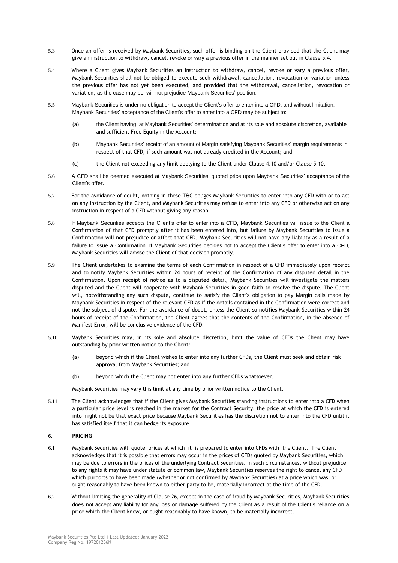- 5.3 Once an offer is received by Maybank Securities, such offer is binding on the Client provided that the Client may give an instruction to withdraw, cancel, revoke or vary a previous offer in the manner set out in Clause 5.4.
- 5.4 Where a Client gives Maybank Securities an instruction to withdraw, cancel, revoke or vary a previous offer, Maybank Securities shall not be obliged to execute such withdrawal, cancellation, revocation or variation unless the previous offer has not yet been executed, and provided that the withdrawal, cancellation, revocation or variation, as the case may be, will not prejudice Maybank Securities' position.
- 5.5 Maybank Securities is under no obligation to accept the Client's offer to enter into a CFD, and without limitation, Maybank Securities' acceptance of the Client's offer to enter into a CFD may be subject to:
	- (a) the Client having, at Maybank Securities' determination and at its sole and absolute discretion, available and sufficient Free Equity in the Account;
	- (b) Maybank Securities' receipt of an amount of Margin satisfying Maybank Securities' margin requirements in respect of that CFD, if such amount was not already credited in the Account; and
	- (c) the Client not exceeding any limit applying to the Client under Clause 4.10 and/or Clause 5.10.
- 5.6 A CFD shall be deemed executed at Maybank Securities' quoted price upon Maybank Securities' acceptance of the Client's offer.
- 5.7 For the avoidance of doubt, nothing in these T&C obliges Maybank Securities to enter into any CFD with or to act on any instruction by the Client, and Maybank Securities may refuse to enter into any CFD or otherwise act on any instruction in respect of a CFD without giving any reason.
- 5.8 If Maybank Securities accepts the Client's offer to enter into a CFD, Maybank Securities will issue to the Client a Confirmation of that CFD promptly after it has been entered into, but failure by Maybank Securities to issue a Confirmation will not prejudice or affect that CFD. Maybank Securities will not have any liability as a result of a failure to issue a Confirmation. If Maybank Securities decides not to accept the Client's offer to enter into a CFD, Maybank Securities will advise the Client of that decision promptly.
- 5.9 The Client undertakes to examine the terms of each Confirmation in respect of a CFD immediately upon receipt and to notify Maybank Securities within 24 hours of receipt of the Confirmation of any disputed detail in the Confirmation. Upon receipt of notice as to a disputed detail, Maybank Securities will investigate the matters disputed and the Client will cooperate with Maybank Securities in good faith to resolve the dispute. The Client will, notwithstanding any such dispute, continue to satisfy the Client's obligation to pay Margin calls made by Maybank Securities in respect of the relevant CFD as if the details contained in the Confirmation were correct and not the subject of dispute. For the avoidance of doubt, unless the Client so notifies Maybank Securities within 24 hours of receipt of the Confirmation, the Client agrees that the contents of the Confirmation, in the absence of Manifest Error, will be conclusive evidence of the CFD.
- 5.10 Maybank Securities may, in its sole and absolute discretion, limit the value of CFDs the Client may have outstanding by prior written notice to the Client:
	- (a) beyond which if the Client wishes to enter into any further CFDs, the Client must seek and obtain risk approval from Maybank Securities; and
	- (b) beyond which the Client may not enter into any further CFDs whatsoever.

Maybank Securities may vary this limit at any time by prior written notice to the Client.

5.11 The Client acknowledges that if the Client gives Maybank Securities standing instructions to enter into a CFD when a particular price level is reached in the market for the Contract Security, the price at which the CFD is entered into might not be that exact price because Maybank Securities has the discretion not to enter into the CFD until it has satisfied itself that it can hedge its exposure.

## **6. PRICING**

- 6.1 Maybank Securities will quote prices at which it is prepared to enter into CFDs with the Client. The Client acknowledges that it is possible that errors may occur in the prices of CFDs quoted by Maybank Securities, which may be due to errors in the prices of the underlying Contract Securities. In such circumstances, without prejudice to any rights it may have under statute or common law, Maybank Securities reserves the right to cancel any CFD which purports to have been made (whether or not confirmed by Maybank Securities) at a price which was, or ought reasonably to have been known to either party to be, materially incorrect at the time of the CFD.
- 6.2 Without limiting the generality of Clause 26, except in the case of fraud by Maybank Securities, Maybank Securities does not accept any liability for any loss or damage suffered by the Client as a result of the Client's reliance on a price which the Client knew, or ought reasonably to have known, to be materially incorrect.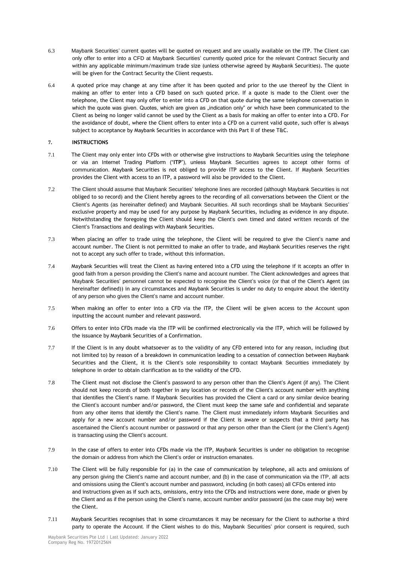- 6.3 Maybank Securities' current quotes will be quoted on request and are usually available on the ITP. The Client can only offer to enter into a CFD at Maybank Securities' currently quoted price for the relevant Contract Security and within any applicable minimum/maximum trade size (unless otherwise agreed by Maybank Securities). The quote will be given for the Contract Security the Client requests.
- 6.4 A quoted price may change at any time after it has been quoted and prior to the use thereof by the Client in making an offer to enter into a CFD based on such quoted price. If a quote is made to the Client over the telephone, the Client may only offer to enter into a CFD on that quote during the same telephone conversation in which the quote was given. Quotes, which are given as "indication only" or which have been communicated to the Client as being no longer valid cannot be used by the Client as a basis for making an offer to enter into a CFD. For the avoidance of doubt, where the Client offers to enter into a CFD on a current valid quote, such offer is always subject to acceptance by Maybank Securities in accordance with this Part II of these T&C.

# **7. INSTRUCTIONS**

- 7.1 The Client may only enter into CFDs with or otherwise give instructions to Maybank Securities using the telephone or via an Internet Trading Platform ("**ITP**"), unless Maybank Securities agrees to accept other forms of communication. Maybank Securities is not obliged to provide ITP access to the Client. If Maybank Securities provides the Client with access to an ITP, a password will also be provided to the Client.
- 7.2 The Client should assume that Maybank Securities' telephone lines are recorded (although Maybank Securities is not obliged to so record) and the Client hereby agrees to the recording of all conversations between the Client or the Client's Agents (as hereinafter defined) and Maybank Securities. All such recordings shall be Maybank Securities' exclusive property and may be used for any purpose by Maybank Securities, including as evidence in any dispute. Notwithstanding the foregoing the Client should keep the Client's own timed and dated written records of the Client's Transactions and dealings with Maybank Securities.
- 7.3 When placing an offer to trade using the telephone, the Client will be required to give the Client's name and account number. The Client is not permitted to make an offer to trade, and Maybank Securities reserves the right not to accept any such offer to trade, without this information.
- 7.4 Maybank Securities will treat the Client as having entered into a CFD using the telephone if it accepts an offer in good faith from a person providing the Client's name and account number. The Client acknowledges and agrees that Maybank Securities' personnel cannot be expected to recognise the Client's voice (or that of the Client's Agent (as hereinafter defined)) in any circumstances and Maybank Securities is under no duty to enquire about the identity of any person who gives the Client's name and account number.
- 7.5 When making an offer to enter into a CFD via the ITP, the Client will be given access to the Account upon inputting the account number and relevant password.
- 7.6 Offers to enter into CFDs made via the ITP will be confirmed electronically via the ITP, which will be followed by the issuance by Maybank Securities of a Confirmation.
- 7.7 If the Client is in any doubt whatsoever as to the validity of any CFD entered into for any reason, including (but not limited to) by reason of a breakdown in communication leading to a cessation of connection between Maybank Securities and the Client, it is the Client's sole responsibility to contact Maybank Securities immediately by telephone in order to obtain clarification as to the validity of the CFD.
- 7.8 The Client must not disclose the Client's password to any person other than the Client's Agent (if any). The Client should not keep records of both together in any location or records of the Client's account number with anything that identifies the Client's name. If Maybank Securities has provided the Client a card or any similar device bearing the Client's account number and/or password, the Client must keep the same safe and confidential and separate from any other items that identify the Client's name. The Client must immediately inform Maybank Securities and apply for a new account number and/or password if the Client is aware or suspects that a third party has ascertained the Client's account number or password or that any person other than the Client (or the Client's Agent) is transacting using the Client's account.
- 7.9 In the case of offers to enter into CFDs made via the ITP, Maybank Securities is under no obligation to recognise the domain or address from which the Client's order or instruction emanates.
- 7.10 The Client will be fully responsible for (a) in the case of communication by telephone, all acts and omissions of any person giving the Client's name and account number, and (b) in the case of communication via the ITP, all acts and omissions using the Client's account number and password, including (in both cases) all CFDs entered into and instructions given as if such acts, omissions, entry into the CFDs and instructions were done, made or given by the Client and as if the person using the Client's name, account number and/or password (as the case may be) were the Client.
- 7.11 Maybank Securities recognises that in some circumstances it may be necessary for the Client to authorise a third party to operate the Account. If the Client wishes to do this, Maybank Securities' prior consent is required, such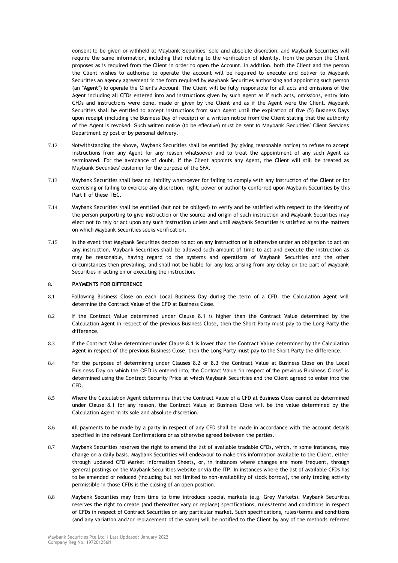consent to be given or withheld at Maybank Securities' sole and absolute discretion, and Maybank Securities will require the same information, including that relating to the verification of identity, from the person the Client proposes as is required from the Client in order to open the Account. In addition, both the Client and the person the Client wishes to authorise to operate the account will be required to execute and deliver to Maybank Securities an agency agreement in the form required by Maybank Securities authorising and appointing such person (an "**Agent**") to operate the Client's Account. The Client will be fully responsible for all acts and omissions of the Agent including all CFDs entered into and instructions given by such Agent as if such acts, omissions, entry into CFDs and instructions were done, made or given by the Client and as if the Agent were the Client. Maybank Securities shall be entitled to accept instructions from such Agent until the expiration of five (5) Business Days upon receipt (including the Business Day of receipt) of a written notice from the Client stating that the authority of the Agent is revoked. Such written notice (to be effective) must be sent to Maybank Securities' Client Services Department by post or by personal delivery.

- 7.12 Notwithstanding the above, Maybank Securities shall be entitled (by giving reasonable notice) to refuse to accept instructions from any Agent for any reason whatsoever and to treat the appointment of any such Agent as terminated. For the avoidance of doubt, if the Client appoints any Agent, the Client will still be treated as Maybank Securities' customer for the purpose of the SFA.
- 7.13 Maybank Securities shall bear no liability whatsoever for failing to comply with any instruction of the Client or for exercising or failing to exercise any discretion, right, power or authority conferred upon Maybank Securities by this Part II of these T&C.
- 7.14 Maybank Securities shall be entitled (but not be obliged) to verify and be satisfied with respect to the identity of the person purporting to give instruction or the source and origin of such instruction and Maybank Securities may elect not to rely or act upon any such instruction unless and until Maybank Securities is satisfied as to the matters on which Maybank Securities seeks verification.
- 7.15 In the event that Maybank Securities decides to act on any instruction or is otherwise under an obligation to act on any instruction, Maybank Securities shall be allowed such amount of time to act and execute the instruction as may be reasonable, having regard to the systems and operations of Maybank Securities and the other circumstances then prevailing, and shall not be liable for any loss arising from any delay on the part of Maybank Securities in acting on or executing the instruction.

## **8. PAYMENTS FOR DIFFERENCE**

- 8.1 Following Business Close on each Local Business Day during the term of a CFD, the Calculation Agent will determine the Contract Value of the CFD at Business Close.
- 8.2 If the Contract Value determined under Clause 8.1 is higher than the Contract Value determined by the Calculation Agent in respect of the previous Business Close, then the Short Party must pay to the Long Party the difference.
- 8.3 If the Contract Value determined under Clause 8.1 is lower than the Contract Value determined by the Calculation Agent in respect of the previous Business Close, then the Long Party must pay to the Short Party the difference.
- 8.4 For the purposes of determining under Clauses 8.2 or 8.3 the Contract Value at Business Close on the Local Business Day on which the CFD is entered into, the Contract Value "in respect of the previous Business Close" is determined using the Contract Security Price at which Maybank Securities and the Client agreed to enter into the CFD.
- 8.5 Where the Calculation Agent determines that the Contract Value of a CFD at Business Close cannot be determined under Clause 8.1 for any reason, the Contract Value at Business Close will be the value determined by the Calculation Agent in its sole and absolute discretion.
- 8.6 All payments to be made by a party in respect of any CFD shall be made in accordance with the account details specified in the relevant Confirmations or as otherwise agreed between the parties.
- 8.7 Maybank Securities reserves the right to amend the list of available tradable CFDs, which, in some instances, may change on a daily basis. Maybank Securities will endeavour to make this information available to the Client, either through updated CFD Market Information Sheets, or, in instances where changes are more frequent, through general postings on the Maybank Securities website or via the ITP. In instances where the list of available CFDs has to be amended or reduced (including but not limited to non-availability of stock borrow), the only trading activity permissible in those CFDs is the closing of an open position.
- 8.8 Maybank Securities may from time to time introduce special markets (e.g. Grey Markets). Maybank Securities reserves the right to create (and thereafter vary or replace) specifications, rules/terms and conditions in respect of CFDs in respect of Contract Securities on any particular market. Such specifications, rules/terms and conditions (and any variation and/or replacement of the same) will be notified to the Client by any of the methods referred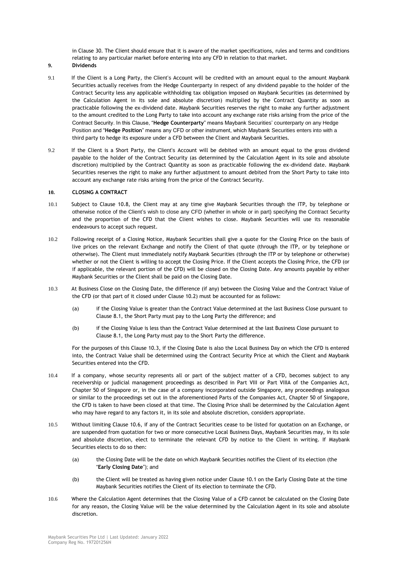in Clause 30. The Client should ensure that it is aware of the market specifications, rules and terms and conditions relating to any particular market before entering into any CFD in relation to that market.

**9. Dividends**

- 9.1 If the Client is a Long Party, the Client's Account will be credited with an amount equal to the amount Maybank Securities actually receives from the Hedge Counterparty in respect of any dividend payable to the holder of the Contract Security less any applicable withholding tax obligation imposed on Maybank Securities (as determined by the Calculation Agent in its sole and absolute discretion) multiplied by the Contract Quantity as soon as practicable following the ex-dividend date. Maybank Securities reserves the right to make any further adjustment to the amount credited to the Long Party to take into account any exchange rate risks arising from the price of the Contract Security. In this Clause, "**Hedge Counterparty**" means Maybank Securities' counterparty on any Hedge Position and "**Hedge Position**" means any CFD or other instrument, which Maybank Securities enters into with a third party to hedge its exposure under a CFD between the Client and Maybank Securities.
- 9.2 If the Client is a Short Party, the Client's Account will be debited with an amount equal to the gross dividend payable to the holder of the Contract Security (as determined by the Calculation Agent in its sole and absolute discretion) multiplied by the Contract Quantity as soon as practicable following the ex-dividend date. Maybank Securities reserves the right to make any further adjustment to amount debited from the Short Party to take into account any exchange rate risks arising from the price of the Contract Security.

## **10. CLOSING A CONTRACT**

- 10.1 Subject to Clause 10.8, the Client may at any time give Maybank Securities through the ITP, by telephone or otherwise notice of the Client's wish to close any CFD (whether in whole or in part) specifying the Contract Security and the proportion of the CFD that the Client wishes to close. Maybank Securities will use its reasonable endeavours to accept such request.
- 10.2 Following receipt of a Closing Notice, Maybank Securities shall give a quote for the Closing Price on the basis of live prices on the relevant Exchange and notify the Client of that quote (through the ITP, or by telephone or otherwise). The Client must immediately notify Maybank Securities (through the ITP or by telephone or otherwise) whether or not the Client is willing to accept the Closing Price. If the Client accepts the Closing Price, the CFD (or if applicable, the relevant portion of the CFD) will be closed on the Closing Date. Any amounts payable by either Maybank Securities or the Client shall be paid on the Closing Date.
- 10.3 At Business Close on the Closing Date, the difference (if any) between the Closing Value and the Contract Value of the CFD (or that part of it closed under Clause 10.2) must be accounted for as follows:
	- (a) if the Closing Value is greater than the Contract Value determined at the last Business Close pursuant to Clause 8.1, the Short Party must pay to the Long Party the difference; and
	- (b) if the Closing Value is less than the Contract Value determined at the last Business Close pursuant to Clause 8.1, the Long Party must pay to the Short Party the difference.

For the purposes of this Clause 10.3, if the Closing Date is also the Local Business Day on which the CFD is entered into, the Contract Value shall be determined using the Contract Security Price at which the Client and Maybank Securities entered into the CFD.

- 10.4 If a company, whose security represents all or part of the subject matter of a CFD, becomes subject to any receivership or judicial management proceedings as described in Part VIII or Part VIIIA of the Companies Act, Chapter 50 of Singapore or, in the case of a company incorporated outside Singapore, any proceedings analogous or similar to the proceedings set out in the aforementioned Parts of the Companies Act, Chapter 50 of Singapore, the CFD is taken to have been closed at that time. The Closing Price shall be determined by the Calculation Agent who may have regard to any factors it, in its sole and absolute discretion, considers appropriate.
- 10.5 Without limiting Clause 10.6, if any of the Contract Securities cease to be listed for quotation on an Exchange, or are suspended from quotation for two or more consecutive Local Business Days, Maybank Securities may, in its sole and absolute discretion, elect to terminate the relevant CFD by notice to the Client in writing. If Maybank Securities elects to do so then:
	- (a) the Closing Date will be the date on which Maybank Securities notifies the Client of its election (the "**Early Closing Date**"); and
	- (b) the Client will be treated as having given notice under Clause 10.1 on the Early Closing Date at the time Maybank Securities notifies the Client of its election to terminate the CFD.
- 10.6 Where the Calculation Agent determines that the Closing Value of a CFD cannot be calculated on the Closing Date for any reason, the Closing Value will be the value determined by the Calculation Agent in its sole and absolute discretion.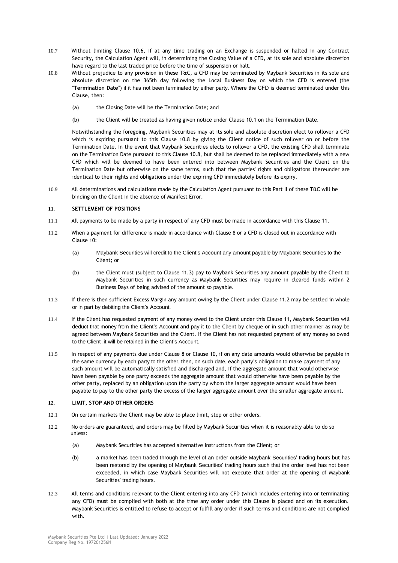- 10.7 Without limiting Clause 10.6, if at any time trading on an Exchange is suspended or halted in any Contract Security, the Calculation Agent will, in determining the Closing Value of a CFD, at its sole and absolute discretion have regard to the last traded price before the time of suspension or halt.
- 10.8 Without prejudice to any provision in these T&C, a CFD may be terminated by Maybank Securities in its sole and absolute discretion on the 365th day following the Local Business Day on which the CFD is entered (the "**Termination Date**") if it has not been terminated by either party. Where the CFD is deemed terminated under this Clause, then:
	- (a) the Closing Date will be the Termination Date; and
	- (b) the Client will be treated as having given notice under Clause 10.1 on the Termination Date.

Notwithstanding the foregoing, Maybank Securities may at its sole and absolute discretion elect to rollover a CFD which is expiring pursuant to this Clause 10.8 by giving the Client notice of such rollover on or before the Termination Date. In the event that Maybank Securities elects to rollover a CFD, the existing CFD shall terminate on the Termination Date pursuant to this Clause 10.8, but shall be deemed to be replaced immediately with a new CFD which will be deemed to have been entered into between Maybank Securities and the Client on the Termination Date but otherwise on the same terms, such that the parties' rights and obligations thereunder are identical to their rights and obligations under the expiring CFD immediately before its expiry.

10.9 All determinations and calculations made by the Calculation Agent pursuant to this Part II of these T&C will be binding on the Client in the absence of Manifest Error.

### **11. SETTLEMENT OF POSITIONS**

- 11.1 All payments to be made by a party in respect of any CFD must be made in accordance with this Clause 11.
- 11.2 When a payment for difference is made in accordance with Clause 8 or a CFD is closed out in accordance with Clause 10:
	- (a) Maybank Securities will credit to the Client's Account any amount payable by Maybank Securities to the Client; or
	- (b) the Client must (subject to Clause 11.3) pay to Maybank Securities any amount payable by the Client to Maybank Securities in such currency as Maybank Securities may require in cleared funds within 2 Business Days of being advised of the amount so payable.
- 11.3 If there is then sufficient Excess Margin any amount owing by the Client under Clause 11.2 may be settled in whole or in part by debiting the Client's Account.
- 11.4 If the Client has requested payment of any money owed to the Client under this Clause 11, Maybank Securities will deduct that money from the Client's Account and pay it to the Client by cheque or in such other manner as may be agreed between Maybank Securities and the Client. If the Client has not requested payment of any money so owed to the Client .it will be retained in the Client's Account.
- 11.5 In respect of any payments due under Clause 8 or Clause 10, if on any date amounts would otherwise be payable in the same currency by each party to the other, then, on such date, each party's obligation to make payment of any such amount will be automatically satisfied and discharged and, if the aggregate amount that would otherwise have been payable by one party exceeds the aggregate amount that would otherwise have been payable by the other party, replaced by an obligation upon the party by whom the larger aggregate amount would have been payable to pay to the other party the excess of the larger aggregate amount over the smaller aggregate amount.

### **12. LIMIT, STOP AND OTHER ORDERS**

- 12.1 On certain markets the Client may be able to place limit, stop or other orders.
- 12.2 No orders are guaranteed, and orders may be filled by Maybank Securities when it is reasonably able to do so unless:
	- (a) Maybank Securities has accepted alternative instructions from the Client; or
	- (b) a market has been traded through the level of an order outside Maybank Securities' trading hours but has been restored by the opening of Maybank Securities' trading hours such that the order level has not been exceeded, in which case Maybank Securities will not execute that order at the opening of Maybank Securities' trading hours.
- 12.3 All terms and conditions relevant to the Client entering into any CFD (which includes entering into or terminating any CFD) must be complied with both at the time any order under this Clause is placed and on its execution. Maybank Securities is entitled to refuse to accept or fulfill any order if such terms and conditions are not complied with.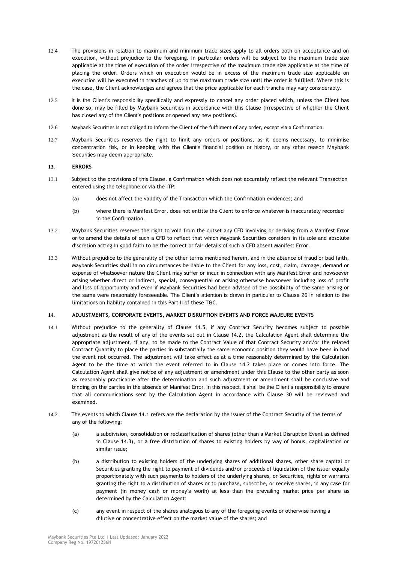- 12.4 The provisions in relation to maximum and minimum trade sizes apply to all orders both on acceptance and on execution, without prejudice to the foregoing. In particular orders will be subject to the maximum trade size applicable at the time of execution of the order irrespective of the maximum trade size applicable at the time of placing the order. Orders which on execution would be in excess of the maximum trade size applicable on execution will be executed in tranches of up to the maximum trade size until the order is fulfilled. Where this is the case, the Client acknowledges and agrees that the price applicable for each tranche may vary considerably.
- 12.5 It is the Client's responsibility specifically and expressly to cancel any order placed which, unless the Client has done so, may be filled by Maybank Securities in accordance with this Clause (irrespective of whether the Client has closed any of the Client's positions or opened any new positions).
- 12.6 Maybank Securities is not obliged to inform the Client of the fulfilment of any order, except via a Confirmation.
- 12.7 Maybank Securities reserves the right to limit any orders or positions, as it deems necessary, to minimise concentration risk, or in keeping with the Client's financial position or history, or any other reason Maybank Securities may deem appropriate.

## **13. ERRORS**

- 13.1 Subject to the provisions of this Clause, a Confirmation which does not accurately reflect the relevant Transaction entered using the telephone or via the ITP:
	- (a) does not affect the validity of the Transaction which the Confirmation evidences; and
	- (b) where there is Manifest Error, does not entitle the Client to enforce whatever is inaccurately recorded in the Confirmation.
- 13.2 Maybank Securities reserves the right to void from the outset any CFD involving or deriving from a Manifest Error or to amend the details of such a CFD to reflect that which Maybank Securities considers in its sole and absolute discretion acting in good faith to be the correct or fair details of such a CFD absent Manifest Error.
- 13.3 Without prejudice to the generality of the other terms mentioned herein, and in the absence of fraud or bad faith, Maybank Securities shall in no circumstances be liable to the Client for any loss, cost, claim, damage, demand or expense of whatsoever nature the Client may suffer or incur in connection with any Manifest Error and howsoever arising whether direct or indirect, special, consequential or arising otherwise howsoever including loss of profit and loss of opportunity and even if Maybank Securities had been advised of the possibility of the same arising or the same were reasonably foreseeable. The Client's attention is drawn in particular to Clause 26 in relation to the limitations on liability contained in this Part II of these T&C.

### **14. ADJUSTMENTS, CORPORATE EVENTS, MARKET DISRUPTION EVENTS AND FORCE MAJEURE EVENTS**

- 14.1 Without prejudice to the generality of Clause 14.5, if any Contract Security becomes subject to possible adjustment as the result of any of the events set out in Clause 14.2, the Calculation Agent shall determine the appropriate adjustment, if any, to be made to the Contract Value of that Contract Security and/or the related Contract Quantity to place the parties in substantially the same economic position they would have been in had the event not occurred. The adjustment will take effect as at a time reasonably determined by the Calculation Agent to be the time at which the event referred to in Clause 14.2 takes place or comes into force. The Calculation Agent shall give notice of any adjustment or amendment under this Clause to the other party as soon as reasonably practicable after the determination and such adjustment or amendment shall be conclusive and binding on the parties in the absence of Manifest Error. In this respect, it shall be the Client's responsibility to ensure that all communications sent by the Calculation Agent in accordance with Clause 30 will be reviewed and examined.
- 14.2 The events to which Clause 14.1 refers are the declaration by the issuer of the Contract Security of the terms of any of the following:
	- (a) a subdivision, consolidation or reclassification of shares (other than a Market Disruption Event as defined in Clause 14.3), or a free distribution of shares to existing holders by way of bonus, capitalisation or similar issue;
	- (b) a distribution to existing holders of the underlying shares of additional shares, other share capital or Securities granting the right to payment of dividends and/or proceeds of liquidation of the issuer equally proportionately with such payments to holders of the underlying shares, or Securities, rights or warrants granting the right to a distribution of shares or to purchase, subscribe, or receive shares, in any case for payment (in money cash or money's worth) at less than the prevailing market price per share as determined by the Calculation Agent;
	- (c) any event in respect of the shares analogous to any of the foregoing events or otherwise having a dilutive or concentrative effect on the market value of the shares; and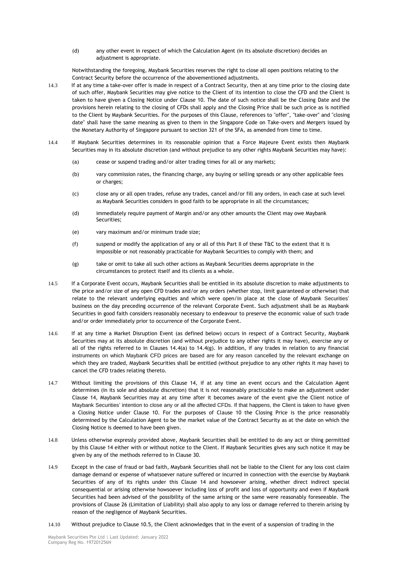(d) any other event in respect of which the Calculation Agent (in its absolute discretion) decides an adjustment is appropriate.

Notwithstanding the foregoing, Maybank Securities reserves the right to close all open positions relating to the Contract Security before the occurrence of the abovementioned adjustments.

- 14.3 If at any time a take-over offer is made in respect of a Contract Security, then at any time prior to the closing date of such offer, Maybank Securities may give notice to the Client of its intention to close the CFD and the Client is taken to have given a Closing Notice under Clause 10. The date of such notice shall be the Closing Date and the provisions herein relating to the closing of CFDs shall apply and the Closing Price shall be such price as is notified to the Client by Maybank Securities. For the purposes of this Clause, references to "offer", "take-over" and "closing date" shall have the same meaning as given to them in the Singapore Code on Take-overs and Mergers issued by the Monetary Authority of Singapore pursuant to section 321 of the SFA, as amended from time to time.
- 14.4 If Maybank Securities determines in its reasonable opinion that a Force Majeure Event exists then Maybank Securities may in its absolute discretion (and without prejudice to any other rights Maybank Securities may have):
	- (a) cease or suspend trading and/or alter trading times for all or any markets;
	- (b) vary commission rates, the financing charge, any buying or selling spreads or any other applicable fees or charges;
	- (c) close any or all open trades, refuse any trades, cancel and/or fill any orders, in each case at such level as Maybank Securities considers in good faith to be appropriate in all the circumstances;
	- (d) immediately require payment of Margin and/or any other amounts the Client may owe Maybank Securities;
	- (e) vary maximum and/or minimum trade size;
	- (f) suspend or modify the application of any or all of this Part II of these T&C to the extent that it is impossible or not reasonably practicable for Maybank Securities to comply with them; and
	- (g) take or omit to take all such other actions as Maybank Securities deems appropriate in the circumstances to protect itself and its clients as a whole.
- 14.5 If a Corporate Event occurs, Maybank Securities shall be entitled in its absolute discretion to make adjustments to the price and/or size of any open CFD trades and/or any orders (whether stop, limit guaranteed or otherwise) that relate to the relevant underlying equities and which were open/in place at the close of Maybank Securities' business on the day preceding occurrence of the relevant Corporate Event. Such adjustment shall be as Maybank Securities in good faith considers reasonably necessary to endeavour to preserve the economic value of such trade and/or order immediately prior to occurrence of the Corporate Event.
- 14.6 If at any time a Market Disruption Event (as defined below) occurs in respect of a Contract Security, Maybank Securities may at its absolute discretion (and without prejudice to any other rights it may have), exercise any or all of the rights referred to in Clauses 14.4(a) to 14.4(g). In addition, if any trades in relation to any financial instruments on which Maybank CFD prices are based are for any reason cancelled by the relevant exchange on which they are traded, Maybank Securities shall be entitled (without prejudice to any other rights it may have) to cancel the CFD trades relating thereto.
- 14.7 Without limiting the provisions of this Clause 14, if at any time an event occurs and the Calculation Agent determines (in its sole and absolute discretion) that it is not reasonably practicable to make an adjustment under Clause 14, Maybank Securities may at any time after it becomes aware of the event give the Client notice of Maybank Securities' intention to close any or all the affected CFDs. If that happens, the Client is taken to have given a Closing Notice under Clause 10. For the purposes of Clause 10 the Closing Price is the price reasonably determined by the Calculation Agent to be the market value of the Contract Security as at the date on which the Closing Notice is deemed to have been given.
- 14.8 Unless otherwise expressly provided above, Maybank Securities shall be entitled to do any act or thing permitted by this Clause 14 either with or without notice to the Client. If Maybank Securities gives any such notice it may be given by any of the methods referred to in Clause 30.
- 14.9 Except in the case of fraud or bad faith, Maybank Securities shall not be liable to the Client for any loss cost claim damage demand or expense of whatsoever nature suffered or incurred in connection with the exercise by Maybank Securities of any of its rights under this Clause 14 and howsoever arising, whether direct indirect special consequential or arising otherwise howsoever including loss of profit and loss of opportunity and even if Maybank Securities had been advised of the possibility of the same arising or the same were reasonably foreseeable. The provisions of Clause 26 (Limitation of Liability) shall also apply to any loss or damage referred to therein arising by reason of the negligence of Maybank Securities.
- 14.10 Without prejudice to Clause 10.5, the Client acknowledges that in the event of a suspension of trading in the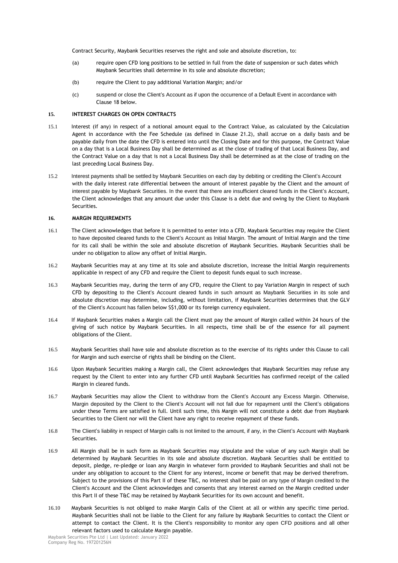Contract Security, Maybank Securities reserves the right and sole and absolute discretion, to:

- (a) require open CFD long positions to be settled in full from the date of suspension or such dates which Maybank Securities shall determine in its sole and absolute discretion;
- (b) require the Client to pay additional Variation Margin; and/or
- (c) suspend or close the Client's Account as if upon the occurrence of a Default Event in accordance with Clause 18 below.

## **15. INTEREST CHARGES ON OPEN CONTRACTS**

- 15.1 Interest (if any) in respect of a notional amount equal to the Contract Value, as calculated by the Calculation Agent in accordance with the Fee Schedule (as defined in Clause 21.2), shall accrue on a daily basis and be payable daily from the date the CFD is entered into until the Closing Date and for this purpose, the Contract Value on a day that is a Local Business Day shall be determined as at the close of trading of that Local Business Day, and the Contract Value on a day that is not a Local Business Day shall be determined as at the close of trading on the last preceding Local Business Day.
- 15.2 Interest payments shall be settled by Maybank Securities on each day by debiting or crediting the Client's Account with the daily interest rate differential between the amount of interest payable by the Client and the amount of interest payable by Maybank Securities. In the event that there are insufficient cleared funds in the Client's Account, the Client acknowledges that any amount due under this Clause is a debt due and owing by the Client to Maybank Securities.

# **16. MARGIN REQUIREMENTS**

- 16.1 The Client acknowledges that before it is permitted to enter into a CFD, Maybank Securities may require the Client to have deposited cleared funds to the Client's Account as Initial Margin. The amount of Initial Margin and the time for its call shall be within the sole and absolute discretion of Maybank Securities. Maybank Securities shall be under no obligation to allow any offset of Initial Margin.
- 16.2 Maybank Securities may at any time at its sole and absolute discretion, increase the Initial Margin requirements applicable in respect of any CFD and require the Client to deposit funds equal to such increase.
- 16.3 Maybank Securities may, during the term of any CFD, require the Client to pay Variation Margin in respect of such CFD by depositing to the Client's Account cleared funds in such amount as Maybank Securities in its sole and absolute discretion may determine, including, without limitation, if Maybank Securities determines that the GLV of the Client's Account has fallen below S\$1,000 or its foreign currency equivalent.
- 16.4 If Maybank Securities makes a Margin call the Client must pay the amount of Margin called within 24 hours of the giving of such notice by Maybank Securities. In all respects, time shall be of the essence for all payment obligations of the Client.
- 16.5 Maybank Securities shall have sole and absolute discretion as to the exercise of its rights under this Clause to call for Margin and such exercise of rights shall be binding on the Client.
- 16.6 Upon Maybank Securities making a Margin call, the Client acknowledges that Maybank Securities may refuse any request by the Client to enter into any further CFD until Maybank Securities has confirmed receipt of the called Margin in cleared funds.
- 16.7 Maybank Securities may allow the Client to withdraw from the Client's Account any Excess Margin. Otherwise, Margin deposited by the Client to the Client's Account will not fall due for repayment until the Client's obligations under these Terms are satisfied in full. Until such time, this Margin will not constitute a debt due from Maybank Securities to the Client nor will the Client have any right to receive repayment of these funds.
- 16.8 The Client's liability in respect of Margin calls is not limited to the amount, if any, in the Client's Account with Maybank Securities.
- 16.9 All Margin shall be in such form as Maybank Securities may stipulate and the value of any such Margin shall be determined by Maybank Securities in its sole and absolute discretion. Maybank Securities shall be entitled to deposit, pledge, re-pledge or loan any Margin in whatever form provided to Maybank Securities and shall not be under any obligation to account to the Client for any interest, income or benefit that may be derived therefrom. Subject to the provisions of this Part II of these T&C, no interest shall be paid on any type of Margin credited to the Client's Account and the Client acknowledges and consents that any interest earned on the Margin credited under this Part II of these T&C may be retained by Maybank Securities for its own account and benefit.
- 16.10 Maybank Securities is not obliged to make Margin Calls of the Client at all or within any specific time period. Maybank Securities shall not be liable to the Client for any failure by Maybank Securities to contact the Client or attempt to contact the Client. It is the Client's responsibility to monitor any open CFD positions and all other relevant factors used to calculate Margin payable.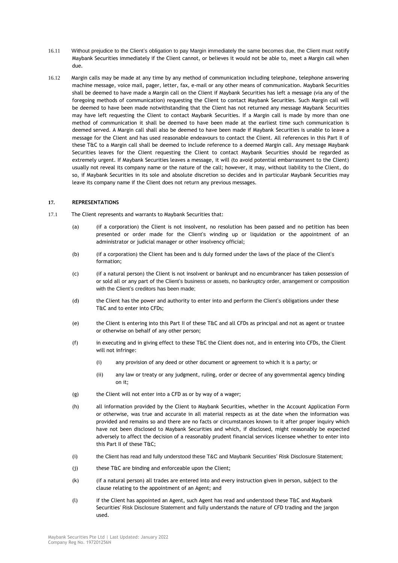- 16.11 Without prejudice to the Client's obligation to pay Margin immediately the same becomes due, the Client must notify Maybank Securities immediately if the Client cannot, or believes it would not be able to, meet a Margin call when due.
- 16.12 Margin calls may be made at any time by any method of communication including telephone, telephone answering machine message, voice mail, pager, letter, fax, e-mail or any other means of communication. Maybank Securities shall be deemed to have made a Margin call on the Client if Maybank Securities has left a message (via any of the foregoing methods of communication) requesting the Client to contact Maybank Securities. Such Margin call will be deemed to have been made notwithstanding that the Client has not returned any message Maybank Securities may have left requesting the Client to contact Maybank Securities. If a Margin call is made by more than one method of communication it shall be deemed to have been made at the earliest time such communication is deemed served. A Margin call shall also be deemed to have been made if Maybank Securities is unable to leave a message for the Client and has used reasonable endeavours to contact the Client. All references in this Part II of these T&C to a Margin call shall be deemed to include reference to a deemed Margin call. Any message Maybank Securities leaves for the Client requesting the Client to contact Maybank Securities should be regarded as extremely urgent. If Maybank Securities leaves a message, it will (to avoid potential embarrassment to the Client) usually not reveal its company name or the nature of the call; however, it may, without liability to the Client, do so, if Maybank Securities in its sole and absolute discretion so decides and in particular Maybank Securities may leave its company name if the Client does not return any previous messages.

# **17. REPRESENTATIONS**

- 17.1 The Client represents and warrants to Maybank Securities that:
	- (a) (if a corporation) the Client is not insolvent, no resolution has been passed and no petition has been presented or order made for the Client's winding up or liquidation or the appointment of an administrator or judicial manager or other insolvency official;
	- (b) (if a corporation) the Client has been and is duly formed under the laws of the place of the Client's formation;
	- (c) (if a natural person) the Client is not insolvent or bankrupt and no encumbrancer has taken possession of or sold all or any part of the Client's business or assets, no bankruptcy order, arrangement or composition with the Client's creditors has been made;
	- (d) the Client has the power and authority to enter into and perform the Client's obligations under these T&C and to enter into CFDs;
	- (e) the Client is entering into this Part II of these T&C and all CFDs as principal and not as agent or trustee or otherwise on behalf of any other person;
	- (f) in executing and in giving effect to these T&C the Client does not, and in entering into CFDs, the Client will not infringe:
		- (i) any provision of any deed or other document or agreement to which it is a party; or
		- (ii) any law or treaty or any judgment, ruling, order or decree of any governmental agency binding on it;
	- $(g)$  the Client will not enter into a CFD as or by way of a wager;
	- (h) all information provided by the Client to Maybank Securities, whether in the Account Application Form or otherwise, was true and accurate in all material respects as at the date when the information was provided and remains so and there are no facts or circumstances known to it after proper inquiry which have not been disclosed to Maybank Securities and which, if disclosed, might reasonably be expected adversely to affect the decision of a reasonably prudent financial services licensee whether to enter into this Part II of these T&C;
	- (i) the Client has read and fully understood these T&C and Maybank Securities' Risk Disclosure Statement;
	- (j) these T&C are binding and enforceable upon the Client;
	- (k) (if a natural person) all trades are entered into and every instruction given in person, subject to the clause relating to the appointment of an Agent; and
	- (l) if the Client has appointed an Agent, such Agent has read and understood these T&C and Maybank Securities' Risk Disclosure Statement and fully understands the nature of CFD trading and the jargon used.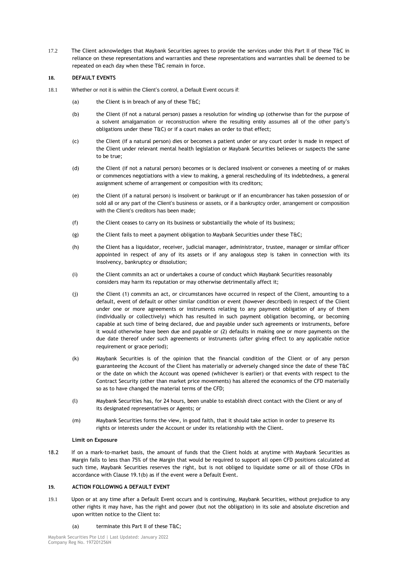17.2 The Client acknowledges that Maybank Securities agrees to provide the services under this Part II of these T&C in reliance on these representations and warranties and these representations and warranties shall be deemed to be repeated on each day when these T&C remain in force.

# **18. DEFAULT EVENTS**

- 18.1 Whether or not it is within the Client's control, a Default Event occurs if:
	- (a) the Client is in breach of any of these T&C:
	- (b) the Client (if not a natural person) passes a resolution for winding up (otherwise than for the purpose of a solvent amalgamation or reconstruction where the resulting entity assumes all of the other party's obligations under these T&C) or if a court makes an order to that effect;
	- (c) the Client (if a natural person) dies or becomes a patient under or any court order is made in respect of the Client under relevant mental health legislation or Maybank Securities believes or suspects the same to be true;
	- (d) the Client (if not a natural person) becomes or is declared insolvent or convenes a meeting of or makes or commences negotiations with a view to making, a general rescheduling of its indebtedness, a general assignment scheme of arrangement or composition with its creditors;
	- (e) the Client (if a natural person) is insolvent or bankrupt or if an encumbrancer has taken possession of or sold all or any part of the Client's business or assets, or if a bankruptcy order, arrangement or composition with the Client's creditors has been made:
	- (f) the Client ceases to carry on its business or substantially the whole of its business;
	- (g) the Client fails to meet a payment obligation to Maybank Securities under these T&C;
	- (h) the Client has a liquidator, receiver, judicial manager, administrator, trustee, manager or similar officer appointed in respect of any of its assets or if any analogous step is taken in connection with its insolvency, bankruptcy or dissolution;
	- (i) the Client commits an act or undertakes a course of conduct which Maybank Securities reasonably considers may harm its reputation or may otherwise detrimentally affect it;
	- (j) the Client (1) commits an act, or circumstances have occurred in respect of the Client, amounting to a default, event of default or other similar condition or event (however described) in respect of the Client under one or more agreements or instruments relating to any payment obligation of any of them (individually or collectively) which has resulted in such payment obligation becoming, or becoming capable at such time of being declared, due and payable under such agreements or instruments, before it would otherwise have been due and payable or (2) defaults in making one or more payments on the due date thereof under such agreements or instruments (after giving effect to any applicable notice requirement or grace period);
	- (k) Maybank Securities is of the opinion that the financial condition of the Client or of any person guaranteeing the Account of the Client has materially or adversely changed since the date of these T&C or the date on which the Account was opened (whichever is earlier) or that events with respect to the Contract Security (other than market price movements) has altered the economics of the CFD materially so as to have changed the material terms of the CFD;
	- (l) Maybank Securities has, for 24 hours, been unable to establish direct contact with the Client or any of its designated representatives or Agents; or
	- (m) Maybank Securities forms the view, in good faith, that it should take action in order to preserve its rights or interests under the Account or under its relationship with the Client.

## **Limit on Exposure**

18.2 If on a mark-to-market basis, the amount of funds that the Client holds at anytime with Maybank Securities as Margin falls to less than 75% of the Margin that would be required to support all open CFD positions calculated at such time, Maybank Securities reserves the right, but is not obliged to liquidate some or all of those CFDs in accordance with Clause 19.1(b) as if the event were a Default Event.

# **19. ACTION FOLLOWING A DEFAULT EVENT**

19.1 Upon or at any time after a Default Event occurs and is continuing, Maybank Securities, without prejudice to any other rights it may have, has the right and power (but not the obligation) in its sole and absolute discretion and upon written notice to the Client to:

## (a) terminate this Part II of these T&C;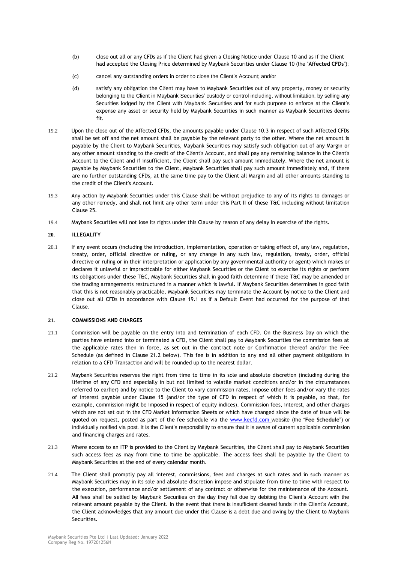- (b) close out all or any CFDs as if the Client had given a Closing Notice under Clause 10 and as if the Client had accepted the Closing Price determined by Maybank Securities under Clause 10 (the "**Affected CFDs**");
- (c) cancel any outstanding orders in order to close the Client's Account; and/or
- (d) satisfy any obligation the Client may have to Maybank Securities out of any property, money or security belonging to the Client in Maybank Securities' custody or control including, without limitation, by selling any Securities lodged by the Client with Maybank Securities and for such purpose to enforce at the Client's expense any asset or security held by Maybank Securities in such manner as Maybank Securities deems fit.
- 19.2 Upon the close out of the Affected CFDs, the amounts payable under Clause 10.3 in respect of such Affected CFDs shall be set off and the net amount shall be payable by the relevant party to the other. Where the net amount is payable by the Client to Maybank Securities, Maybank Securities may satisfy such obligation out of any Margin or any other amount standing to the credit of the Client's Account, and shall pay any remaining balance in the Client's Account to the Client and if insufficient, the Client shall pay such amount immediately. Where the net amount is payable by Maybank Securities to the Client, Maybank Securities shall pay such amount immediately and, if there are no further outstanding CFDs, at the same time pay to the Client all Margin and all other amounts standing to the credit of the Client's Account.
- 19.3 Any action by Maybank Securities under this Clause shall be without prejudice to any of its rights to damages or any other remedy, and shall not limit any other term under this Part II of these T&C including without limitation Clause 25.
- 19.4 Maybank Securities will not lose its rights under this Clause by reason of any delay in exercise of the rights.

## **20. ILLEGALITY**

20.1 If any event occurs (including the introduction, implementation, operation or taking effect of, any law, regulation, treaty, order, official directive or ruling, or any change in any such law, regulation, treaty, order, official directive or ruling or in their interpretation or application by any governmental authority or agent) which makes or declares it unlawful or impracticable for either Maybank Securities or the Client to exercise its rights or perform its obligations under these T&C, Maybank Securities shall in good faith determine if these T&C may be amended or the trading arrangements restructured in a manner which is lawful. If Maybank Securities determines in good faith that this is not reasonably practicable, Maybank Securities may terminate the Account by notice to the Client and close out all CFDs in accordance with Clause 19.1 as if a Default Event had occurred for the purpose of that Clause.

### **21. COMMISSIONS AND CHARGES**

- 21.1 Commission will be payable on the entry into and termination of each CFD. On the Business Day on which the parties have entered into or terminated a CFD, the Client shall pay to Maybank Securities the commission fees at the applicable rates then in force, as set out in the contract note or Confirmation thereof and/or the Fee Schedule (as defined in Clause 21.2 below). This fee is in addition to any and all other payment obligations in relation to a CFD Transaction and will be rounded up to the nearest dollar.
- 21.2 Maybank Securities reserves the right from time to time in its sole and absolute discretion (including during the lifetime of any CFD and especially in but not limited to volatile market conditions and/or in the circumstances referred to earlier) and by notice to the Client to vary commission rates, impose other fees and/or vary the rates of interest payable under Clause 15 (and/or the type of CFD in respect of which it is payable, so that, for example, commission might be imposed in respect of equity indices). Commission fees, interest, and other charges which are not set out in the CFD Market Information Sheets or which have changed since the date of issue will be quoted on request, posted as part of the fee schedule via the [www.kecfd.com](http://www.kecfd.com/) website (the "**Fee Schedule**") or individually notified via post. It is the Client's responsibility to ensure that it is aware of current applicable commission and financing charges and rates.
- 21.3 Where access to an ITP is provided to the Client by Maybank Securities, the Client shall pay to Maybank Securities such access fees as may from time to time be applicable. The access fees shall be payable by the Client to Maybank Securities at the end of every calendar month.
- 21.4 The Client shall promptly pay all interest, commissions, fees and charges at such rates and in such manner as Maybank Securities may in its sole and absolute discretion impose and stipulate from time to time with respect to the execution, performance and/or settlement of any contract or otherwise for the maintenance of the Account. All fees shall be settled by Maybank Securities on the day they fall due by debiting the Client's Account with the relevant amount payable by the Client. In the event that there is insufficient cleared funds in the Client's Account, the Client acknowledges that any amount due under this Clause is a debt due and owing by the Client to Maybank Securities.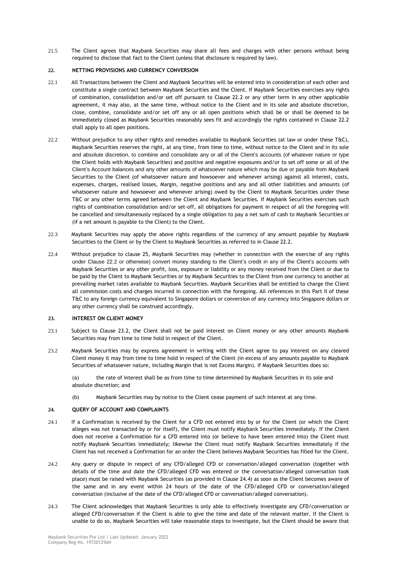21.5 The Client agrees that Maybank Securities may share all fees and charges with other persons without being required to disclose that fact to the Client (unless that disclosure is required by law).

# **22. NETTING PROVISIONS AND CURRENCY CONVERSION**

- 22.1 All Transactions between the Client and Maybank Securities will be entered into in consideration of each other and constitute a single contract between Maybank Securities and the Client. If Maybank Securities exercises any rights of combination, consolidation and/or set off pursuant to Clause 22.2 or any other term in any other applicable agreement, it may also, at the same time, without notice to the Client and in its sole and absolute discretion, close, combine, consolidate and/or set off any or all open positions which shall be or shall be deemed to be immediately closed as Maybank Securities reasonably sees fit and accordingly the rights contained in Clause 22.2 shall apply to all open positions.
- 22.2 Without prejudice to any other rights and remedies available to Maybank Securities (at law or under these T&C), Maybank Securities reserves the right, at any time, from time to time, without notice to the Client and in its sole and absolute discretion, to combine and consolidate any or all of the Client's accounts (of whatever nature or type the Client holds with Maybank Securities) and positive and negative exposures and/or to set off some or all of the Client's Account balances and any other amounts of whatsoever nature which may be due or payable from Maybank Securities to the Client (of whatsoever nature and howsoever and whenever arising) against all interest, costs, expenses, charges, realised losses, Margin, negative positions and any and all other liabilities and amounts (of whatsoever nature and howsoever and whenever arising) owed by the Client to Maybank Securities under these T&C or any other terms agreed between the Client and Maybank Securities. If Maybank Securities exercises such rights of combination consolidation and/or set-off, all obligations for payment in respect of all the foregoing will be cancelled and simultaneously replaced by a single obligation to pay a net sum of cash to Maybank Securities or (if a net amount is payable to the Client) to the Client.
- 22.3 Maybank Securities may apply the above rights regardless of the currency of any amount payable by Maybank Securities to the Client or by the Client to Maybank Securities as referred to in Clause 22.2.
- 22.4 Without prejudice to clause 25, Maybank Securities may (whether in connection with the exercise of any rights under Clause 22.2 or otherwise) convert money standing to the Client's credit in any of the Client's accounts with Maybank Securities or any other profit, loss, exposure or liability or any money received from the Client or due to be paid by the Client to Maybank Securities or by Maybank Securities to the Client from one currency to another at prevailing market rates available to Maybank Securities. Maybank Securities shall be entitled to charge the Client all commission costs and charges incurred in connection with the foregoing. All references in this Part II of these T&C to any foreign currency equivalent to Singapore dollars or conversion of any currency into Singapore dollars or any other currency shall be construed accordingly.

## **23. INTEREST ON CLIENT MONEY**

- 23.1 Subject to Clause 23.2, the Client shall not be paid interest on Client money or any other amounts Maybank Securities may from time to time hold in respect of the Client.
- 23.2 Maybank Securities may by express agreement in writing with the Client agree to pay interest on any cleared Client money it may from time to time hold in respect of the Client (in excess of any amounts payable to Maybank Securities of whatsoever nature, including Margin that is not Excess Margin). If Maybank Securities does so:

(a) the rate of interest shall be as from time to time determined by Maybank Securities in its sole and absolute discretion; and

(b) Maybank Securities may by notice to the Client cease payment of such interest at any time.

### **24. QUERY OF ACCOUNT AND COMPLAINTS**

- 24.1 If a Confirmation is received by the Client for a CFD not entered into by or for the Client (or which the Client alleges was not transacted by or for itself), the Client must notify Maybank Securities immediately. If the Client does not receive a Confirmation for a CFD entered into (or believe to have been entered into) the Client must notify Maybank Securities immediately; likewise the Client must notify Maybank Securities immediately if the Client has not received a Confirmation for an order the Client believes Maybank Securities has filled for the Client.
- 24.2 Any query or dispute in respect of any CFD/alleged CFD or conversation/alleged conversation (together with details of the time and date the CFD/alleged CFD was entered or the conversation/alleged conversation took place) must be raised with Maybank Securities (as provided in Clause 24.4) as soon as the Client becomes aware of the same and in any event within 24 hours of the date of the CFD/alleged CFD or conversation/alleged conversation (inclusive of the date of the CFD/alleged CFD or conversation/alleged conversation).
- 24.3 The Client acknowledges that Maybank Securities is only able to effectively investigate any CFD/conversation or alleged CFD/conversation if the Client is able to give the time and date of the relevant matter. If the Client is unable to do so, Maybank Securities will take reasonable steps to investigate, but the Client should be aware that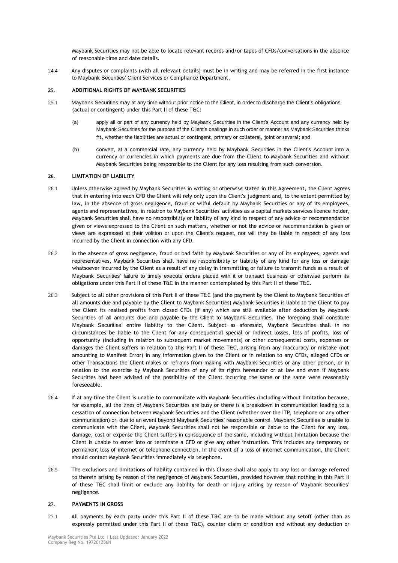Maybank Securities may not be able to locate relevant records and/or tapes of CFDs/conversations in the absence of reasonable time and date details.

24.4 Any disputes or complaints (with all relevant details) must be in writing and may be referred in the first instance to Maybank Securities' Client Services or Compliance Department.

## **25. ADDITIONAL RIGHTS OF MAYBANK SECURITIES**

- 25.1 Maybank Securities may at any time without prior notice to the Client, in order to discharge the Client's obligations (actual or contingent) under this Part II of these T&C:
	- (a) apply all or part of any currency held by Maybank Securities in the Client's Account and any currency held by Maybank Securities for the purpose of the Client's dealings in such order or manner as Maybank Securities thinks fit, whether the liabilities are actual or contingent, primary or collateral, joint or several; and
	- (b) convert, at a commercial rate, any currency held by Maybank Securities in the Client's Account into a currency or currencies in which payments are due from the Client to Maybank Securities and without Maybank Securities being responsible to the Client for any loss resulting from such conversion.

## **26. LIMITATION OF LIABILITY**

- 26.1 Unless otherwise agreed by Maybank Securities in writing or otherwise stated in this Agreement, the Client agrees that in entering into each CFD the Client will rely only upon the Client's judgment and, to the extent permitted by law, in the absence of gross negligence, fraud or wilful default by Maybank Securities or any of its employees, agents and representatives, in relation to Maybank Securities' activities as a capital markets services licence holder, Maybank Securities shall have no responsibility or liability of any kind in respect of any advice or recommendation given or views expressed to the Client on such matters, whether or not the advice or recommendation is given or views are expressed at their volition or upon the Client's request, nor will they be liable in respect of any loss incurred by the Client in connection with any CFD.
- 26.2 In the absence of gross negligence, fraud or bad faith by Maybank Securities or any of its employees, agents and representatives, Maybank Securities shall have no responsibility or liability of any kind for any loss or damage whatsoever incurred by the Client as a result of any delay in transmitting or failure to transmit funds as a result of Maybank Securities' failure to timely execute orders placed with it or transact business or otherwise perform its obligations under this Part II of these T&C in the manner contemplated by this Part II of these T&C.
- 26.3 Subject to all other provisions of this Part II of these T&C (and the payment by the Client to Maybank Securities of all amounts due and payable by the Client to Maybank Securities) Maybank Securities is liable to the Client to pay the Client its realised profits from closed CFDs (if any) which are still available after deduction by Maybank Securities of all amounts due and payable by the Client to Maybank Securities. The foregoing shall constitute Maybank Securities' entire liability to the Client. Subject as aforesaid, Maybank Securities shall in no circumstances be liable to the Client for any consequential special or indirect losses, loss of profits, loss of opportunity (including in relation to subsequent market movements) or other consequential costs, expenses or damages the Client suffers in relation to this Part II of these T&C, arising from any inaccuracy or mistake (not amounting to Manifest Error) in any information given to the Client or in relation to any CFDs, alleged CFDs or other Transactions the Client makes or refrains from making with Maybank Securities or any other person, or in relation to the exercise by Maybank Securities of any of its rights hereunder or at law and even if Maybank Securities had been advised of the possibility of the Client incurring the same or the same were reasonably foreseeable.
- 26.4 If at any time the Client is unable to communicate with Maybank Securities (including without limitation because, for example, all the lines of Maybank Securities are busy or there is a breakdown in communication leading to a cessation of connection between Maybank Securities and the Client (whether over the ITP, telephone or any other communication) or, due to an event beyond Maybank Securities' reasonable control, Maybank Securities is unable to communicate with the Client, Maybank Securities shall not be responsible or liable to the Client for any loss, damage, cost or expense the Client suffers in consequence of the same, including without limitation because the Client is unable to enter into or terminate a CFD or give any other instruction. This includes any temporary or permanent loss of internet or telephone connection. In the event of a loss of internet communication, the Client should contact Maybank Securities immediately via telephone.
- 26.5 The exclusions and limitations of liability contained in this Clause shall also apply to any loss or damage referred to therein arising by reason of the negligence of Maybank Securities, provided however that nothing in this Part II of these T&C shall limit or exclude any liability for death or injury arising by reason of Maybank Securities' negligence.

### **27. PAYMENTS IN GROSS**

27.1 All payments by each party under this Part II of these T&C are to be made without any setoff (other than as expressly permitted under this Part II of these T&C), counter claim or condition and without any deduction or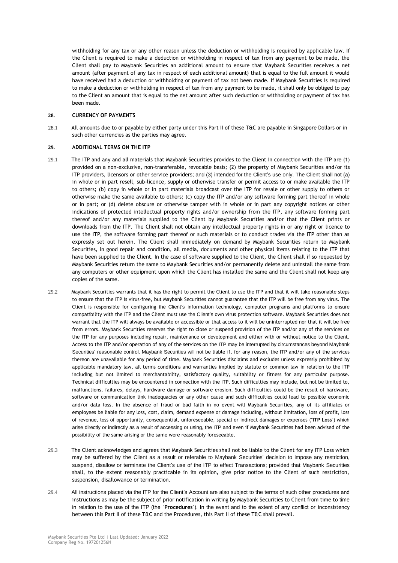withholding for any tax or any other reason unless the deduction or withholding is required by applicable law. If the Client is required to make a deduction or withholding in respect of tax from any payment to be made, the Client shall pay to Maybank Securities an additional amount to ensure that Maybank Securities receives a net amount (after payment of any tax in respect of each additional amount) that is equal to the full amount it would have received had a deduction or withholding or payment of tax not been made. If Maybank Securities is required to make a deduction or withholding in respect of tax from any payment to be made, it shall only be obliged to pay to the Client an amount that is equal to the net amount after such deduction or withholding or payment of tax has been made.

## **28. CURRENCY OF PAYMENTS**

28.1 All amounts due to or payable by either party under this Part II of these T&C are payable in Singapore Dollars or in such other currencies as the parties may agree.

### **29. ADDITIONAL TERMS ON THE ITP**

- 29.1 The ITP and any and all materials that Maybank Securities provides to the Client in connection with the ITP are (1) provided on a non-exclusive, non-transferable, revocable basis; (2) the property of Maybank Securities and/or its ITP providers, licensors or other service providers; and (3) intended for the Client's use only. The Client shall not (a) in whole or in part resell, sub-licence, supply or otherwise transfer or permit access to or make available the ITP to others; (b) copy in whole or in part materials broadcast over the ITP for resale or other supply to others or otherwise make the same available to others; (c) copy the ITP and/or any software forming part thereof in whole or in part; or (d) delete obscure or otherwise tamper with in whole or in part any copyright notices or other indications of protected intellectual property rights and/or ownership from the ITP, any software forming part thereof and/or any materials supplied to the Client by Maybank Securities and/or that the Client prints or downloads from the ITP. The Client shall not obtain any intellectual property rights in or any right or licence to use the ITP, the software forming part thereof or such materials or to conduct trades via the ITP other than as expressly set out herein. The Client shall immediately on demand by Maybank Securities return to Maybank Securities, in good repair and condition, all media, documents and other physical items relating to the ITP that have been supplied to the Client. In the case of software supplied to the Client, the Client shall if so requested by Maybank Securities return the same to Maybank Securities and/or permanently delete and uninstall the same from any computers or other equipment upon which the Client has installed the same and the Client shall not keep any copies of the same.
- 29.2 Maybank Securities warrants that it has the right to permit the Client to use the ITP and that it will take reasonable steps to ensure that the ITP is virus-free, but Maybank Securities cannot guarantee that the ITP will be free from any virus. The Client is responsible for configuring the Client's information technology, computer programs and platforms to ensure compatibility with the ITP and the Client must use the Client's own virus protection software. Maybank Securities does not warrant that the ITP will always be available or accessible or that access to it will be uninterrupted nor that it will be free from errors. Maybank Securities reserves the right to close or suspend provision of the ITP and/or any of the services on the ITP for any purposes including repair, maintenance or development and either with or without notice to the Client. Access to the ITP and/or operation of any of the services on the ITP may be interrupted by circumstances beyond Maybank Securities' reasonable control. Maybank Securities will not be liable if, for any reason, the ITP and/or any of the services thereon are unavailable for any period of time. Maybank Securities disclaims and excludes unless expressly prohibited by applicable mandatory law, all terms conditions and warranties implied by statute or common law in relation to the ITP including but not limited to merchantability, satisfactory quality, suitability or fitness for any particular purpose. Technical difficulties may be encountered in connection with the ITP. Such difficulties may include, but not be limited to, malfunctions, failures, delays, hardware damage or software erosion. Such difficulties could be the result of hardware, software or communication link inadequacies or any other cause and such difficulties could lead to possible economic and/or data loss. In the absence of fraud or bad faith in no event will Maybank Securities, any of its affiliates or employees be liable for any loss, cost, claim, demand expense or damage including, without limitation, loss of profit, loss of revenue, loss of opportunity, consequential, unforeseeable, special or indirect damages or expenses ("**ITP Loss**") which arise directly or indirectly as a result of accessing or using, the ITP and even if Maybank Securities had been advised of the possibility of the same arising or the same were reasonably foreseeable.
- 29.3 The Client acknowledges and agrees that Maybank Securities shall not be liable to the Client for any ITP Loss which may be suffered by the Client as a result or referable to Maybank Securities' decision to impose any restriction, suspend, disallow or terminate the Client's use of the ITP to effect Transactions; provided that Maybank Securities shall, to the extent reasonably practicable in its opinion, give prior notice to the Client of such restriction, suspension, disallowance or termination.
- 29.4 All instructions placed via the ITP for the Client's Account are also subject to the terms of such other procedures and instructions as may be the subject of prior notification in writing by Maybank Securities to Client from time to time in relation to the use of the ITP (the "**Procedures**"). In the event and to the extent of any conflict or inconsistency between this Part II of these T&C and the Procedures, this Part II of these T&C shall prevail.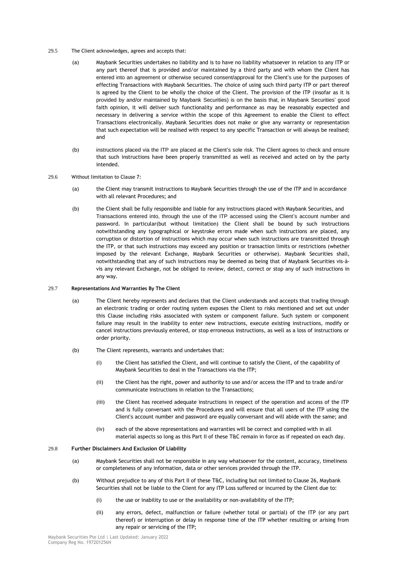- 29.5 The Client acknowledges, agrees and accepts that:
	- (a) Maybank Securities undertakes no liability and is to have no liability whatsoever in relation to any ITP or any part thereof that is provided and/or maintained by a third party and with whom the Client has entered into an agreement or otherwise secured consent/approval for the Client's use for the purposes of effecting Transactions with Maybank Securities. The choice of using such third party ITP or part thereof is agreed by the Client to be wholly the choice of the Client. The provision of the ITP (insofar as it is provided by and/or maintained by Maybank Securities) is on the basis that, in Maybank Securities' good faith opinion, it will deliver such functionality and performance as may be reasonably expected and necessary in delivering a service within the scope of this Agreement to enable the Client to effect Transactions electronically. Maybank Securities does not make or give any warranty or representation that such expectation will be realised with respect to any specific Transaction or will always be realised; and
	- (b) instructions placed via the ITP are placed at the Client's sole risk. The Client agrees to check and ensure that such instructions have been properly transmitted as well as received and acted on by the party intended.
- 29.6 Without limitation to Clause 7:
	- (a) the Client may transmit instructions to Maybank Securities through the use of the ITP and in accordance with all relevant Procedures; and
	- (b) the Client shall be fully responsible and liable for any instructions placed with Maybank Securities, and Transactions entered into, through the use of the ITP accessed using the Client's account number and password. In particular(but without limitation) the Client shall be bound by such instructions notwithstanding any typographical or keystroke errors made when such instructions are placed, any corruption or distortion of instructions which may occur when such instructions are transmitted through the ITP, or that such instructions may exceed any position or transaction limits or restrictions (whether imposed by the relevant Exchange, Maybank Securities or otherwise). Maybank Securities shall, notwithstanding that any of such instructions may be deemed as being that of Maybank Securities vis-àvis any relevant Exchange, not be obliged to review, detect, correct or stop any of such instructions in any way.

### 29.7 **Representations And Warranties By The Client**

- (a) The Client hereby represents and declares that the Client understands and accepts that trading through an electronic trading or order routing system exposes the Client to risks mentioned and set out under this Clause including risks associated with system or component failure. Such system or component failure may result in the inability to enter new instructions, execute existing instructions, modify or cancel instructions previously entered, or stop erroneous instructions, as well as a loss of instructions or order priority.
- (b) The Client represents, warrants and undertakes that:
	- (i) the Client has satisfied the Client, and will continue to satisfy the Client, of the capability of Maybank Securities to deal in the Transactions via the ITP;
	- (ii) the Client has the right, power and authority to use and/or access the ITP and to trade and/or communicate instructions in relation to the Transactions;
	- (iii) the Client has received adequate instructions in respect of the operation and access of the ITP and is fully conversant with the Procedures and will ensure that all users of the ITP using the Client's account number and password are equally conversant and will abide with the same; and
	- (iv) each of the above representations and warranties will be correct and complied with in all material aspects so long as this Part II of these T&C remain in force as if repeated on each day.

## 29.8 **Further Disclaimers And Exclusion Of Liability**

- (a) Maybank Securities shall not be responsible in any way whatsoever for the content, accuracy, timeliness or completeness of any information, data or other services provided through the ITP.
- (b) Without prejudice to any of this Part II of these T&C, including but not limited to Clause 26, Maybank Securities shall not be liable to the Client for any ITP Loss suffered or incurred by the Client due to:
	- (i) the use or inability to use or the availability or non-availability of the ITP;
	- (ii) any errors, defect, malfunction or failure (whether total or partial) of the ITP (or any part thereof) or interruption or delay in response time of the ITP whether resulting or arising from any repair or servicing of the ITP;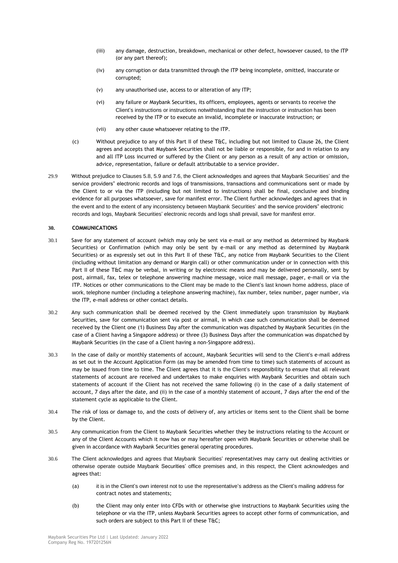- (iii) any damage, destruction, breakdown, mechanical or other defect, howsoever caused, to the ITP (or any part thereof);
- (iv) any corruption or data transmitted through the ITP being incomplete, omitted, inaccurate or corrupted;
- (v) any unauthorised use, access to or alteration of any ITP;
- (vi) any failure or Maybank Securities, its officers, employees, agents or servants to receive the Client's instructions or instructions notwithstanding that the instruction or instruction has been received by the ITP or to execute an invalid, incomplete or inaccurate instruction; or
- (vii) any other cause whatsoever relating to the ITP.
- (c) Without prejudice to any of this Part II of these T&C, including but not limited to Clause 26, the Client agrees and accepts that Maybank Securities shall not be liable or responsible, for and in relation to any and all ITP Loss incurred or suffered by the Client or any person as a result of any action or omission, advice, representation, failure or default attributable to a service provider.
- 29.9 Without prejudice to Clauses 5.8, 5.9 and 7.6, the Client acknowledges and agrees that Maybank Securities' and the service providers" electronic records and logs of transmissions, transactions and communications sent or made by the Client to or via the ITP (including but not limited to instructions) shall be final, conclusive and binding evidence for all purposes whatsoever, save for manifest error. The Client further acknowledges and agrees that in the event and to the extent of any inconsistency between Maybank Securities' and the service providers" electronic records and logs, Maybank Securities' electronic records and logs shall prevail, save for manifest error.

## **30. COMMUNICATIONS**

- 30.1 Save for any statement of account (which may only be sent via e-mail or any method as determined by Maybank Securities) or Confirmation (which may only be sent by e-mail or any method as determined by Maybank Securities) or as expressly set out in this Part II of these T&C, any notice from Maybank Securities to the Client (including without limitation any demand or Margin call) or other communication under or in connection with this Part II of these T&C may be verbal, in writing or by electronic means and may be delivered personally, sent by post, airmail, fax, telex or telephone answering machine message, voice mail message, pager, e-mail or via the ITP. Notices or other communications to the Client may be made to the Client's last known home address, place of work, telephone number (including a telephone answering machine), fax number, telex number, pager number, via the ITP, e-mail address or other contact details.
- 30.2 Any such communication shall be deemed received by the Client immediately upon transmission by Maybank Securities, save for communication sent via post or airmail, in which case such communication shall be deemed received by the Client one (1) Business Day after the communication was dispatched by Maybank Securities (in the case of a Client having a Singapore address) or three (3) Business Days after the communication was dispatched by Maybank Securities (in the case of a Client having a non-Singapore address).
- 30.3 In the case of daily or monthly statements of account, Maybank Securities will send to the Client's e-mail address as set out in the Account Application Form (as may be amended from time to time) such statements of account as may be issued from time to time. The Client agrees that it is the Client's responsibility to ensure that all relevant statements of account are received and undertakes to make enquiries with Maybank Securities and obtain such statements of account if the Client has not received the same following (i) in the case of a daily statement of account, 7 days after the date, and (ii) in the case of a monthly statement of account, 7 days after the end of the statement cycle as applicable to the Client.
- 30.4 The risk of loss or damage to, and the costs of delivery of, any articles or items sent to the Client shall be borne by the Client.
- 30.5 Any communication from the Client to Maybank Securities whether they be instructions relating to the Account or any of the Client Accounts which it now has or may hereafter open with Maybank Securities or otherwise shall be given in accordance with Maybank Securities general operating procedures.
- 30.6 The Client acknowledges and agrees that Maybank Securities' representatives may carry out dealing activities or otherwise operate outside Maybank Securities' office premises and, in this respect, the Client acknowledges and agrees that:
	- (a) it is in the Client's own interest not to use the representative's address as the Client's mailing address for contract notes and statements;
	- (b) the Client may only enter into CFDs with or otherwise give instructions to Maybank Securities using the telephone or via the ITP, unless Maybank Securities agrees to accept other forms of communication, and such orders are subject to this Part II of these T&C;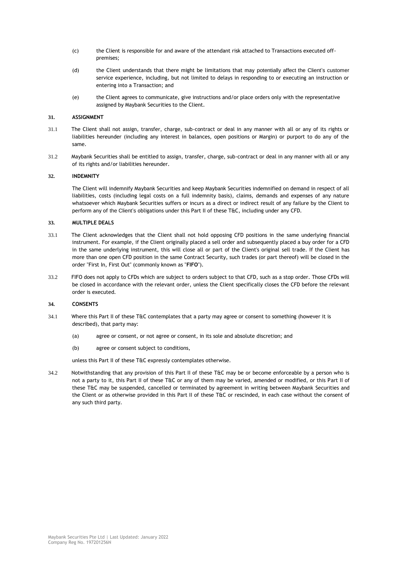- (c) the Client is responsible for and aware of the attendant risk attached to Transactions executed offpremises;
- (d) the Client understands that there might be limitations that may potentially affect the Client's customer service experience, including, but not limited to delays in responding to or executing an instruction or entering into a Transaction; and
- (e) the Client agrees to communicate, give instructions and/or place orders only with the representative assigned by Maybank Securities to the Client.

## **31. ASSIGNMENT**

- 31.1 The Client shall not assign, transfer, charge, sub-contract or deal in any manner with all or any of its rights or liabilities hereunder (including any interest in balances, open positions or Margin) or purport to do any of the same.
- 31.2 Maybank Securities shall be entitled to assign, transfer, charge, sub-contract or deal in any manner with all or any of its rights and/or liabilities hereunder.

## **32. INDEMNITY**

The Client will indemnify Maybank Securities and keep Maybank Securities indemnified on demand in respect of all liabilities, costs (including legal costs on a full indemnity basis), claims, demands and expenses of any nature whatsoever which Maybank Securities suffers or incurs as a direct or indirect result of any failure by the Client to perform any of the Client's obligations under this Part II of these T&C, including under any CFD.

### **33. MULTIPLE DEALS**

- 33.1 The Client acknowledges that the Client shall not hold opposing CFD positions in the same underlying financial instrument. For example, if the Client originally placed a sell order and subsequently placed a buy order for a CFD in the same underlying instrument, this will close all or part of the Client's original sell trade. If the Client has more than one open CFD position in the same Contract Security, such trades (or part thereof) will be closed in the order "First In, First Out" (commonly known as "**FIFO**").
- 33.2 FIFO does not apply to CFDs which are subject to orders subject to that CFD, such as a stop order. Those CFDs will be closed in accordance with the relevant order, unless the Client specifically closes the CFD before the relevant order is executed.

# **34. CONSENTS**

- 34.1 Where this Part II of these T&C contemplates that a party may agree or consent to something (however it is described), that party may:
	- (a) agree or consent, or not agree or consent, in its sole and absolute discretion; and
	- (b) agree or consent subject to conditions,

unless this Part II of these T&C expressly contemplates otherwise.

34.2 Notwithstanding that any provision of this Part II of these T&C may be or become enforceable by a person who is not a party to it, this Part II of these T&C or any of them may be varied, amended or modified, or this Part II of these T&C may be suspended, cancelled or terminated by agreement in writing between Maybank Securities and the Client or as otherwise provided in this Part II of these T&C or rescinded, in each case without the consent of any such third party.